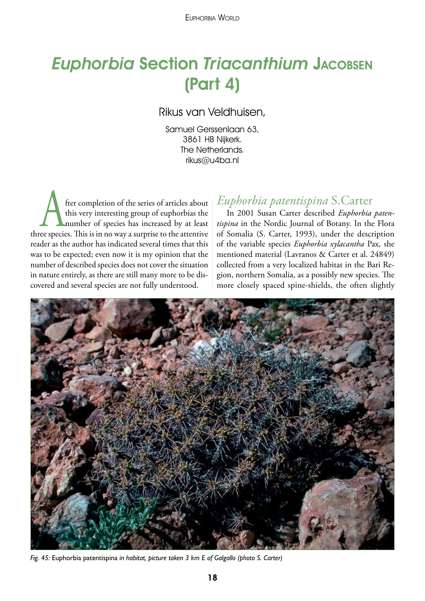# **Euphorbia Section Triacanthium JACOBSEN** (Part 4)

Rikus van Veldhuisen,

Samuel Gerssenlaan 63, 3861 HB Nijkerk. The Netherlands. rikus@u4ba.nl

fter completion of the series of articles about<br>this very interesting group of euphorbias the<br>number of species has increased by at least<br>ee species. This is in no way a surprise to the attentive this very interesting group of euphorbias the number of species has increased by at least three species. This is in no way a surprise to the attentive reader as the author has indicated several times that this was to be expected; even now it is my opinion that the number of described species does not cover the situation in nature entirely, as there are still many more to be discovered and several species are not fully understood.

### *Euphorbia patentispina* S.Carter

In 2001 Susan Carter described *Euphorbia patentispina* in the Nordic Journal of Botany. In the Flora of Somalia (S. Carter, 1993), under the description of the variable species *Euphorbia xylacantha* Pax, she mentioned material (Lavranos & Carter et al. 24849) collected from a very localized habitat in the Bari Region, northern Somalia, as a possibly new species. The more closely spaced spine-shields, the often slightly



*Fig. 45:* Euphorbia patentispina *in habitat, picture taken 3 km E of Galgallo (photo S. Carter)*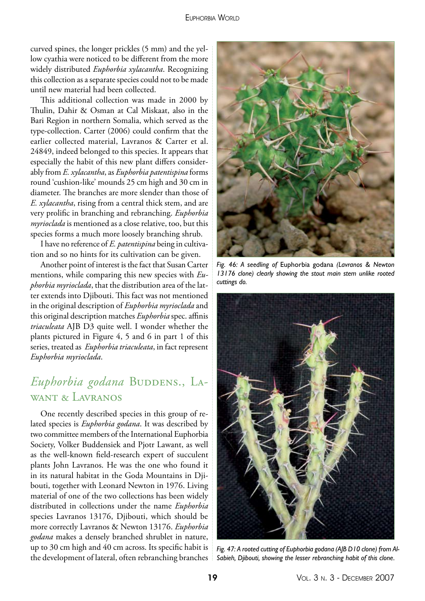curved spines, the longer prickles (5 mm) and the yellow cyathia were noticed to be different from the more widely distributed *Euphorbia xylacantha*. Recognizing this collection as a separate species could not to be made until new material had been collected.

This additional collection was made in 2000 by Thulin, Dahir & Osman at Cal Miskaat, also in the Bari Region in northern Somalia, which served as the type-collection. Carter (2006) could confirm that the earlier collected material, Lavranos & Carter et al. 24849, indeed belonged to this species. It appears that especially the habit of this new plant differs considerably from *E. xylacantha*, as *Euphorbia patentispina* forms round 'cushion-like' mounds 25 cm high and 30 cm in diameter. The branches are more slender than those of *E. xylacantha*, rising from a central thick stem, and are very prolific in branching and rebranching. *Euphorbia myrioclada* is mentioned as a close relative, too, but this species forms a much more loosely branching shrub.

I have no reference of *E. patentispina* being in cultivation and so no hints for its cultivation can be given.

Another point of interest is the fact that Susan Carter mentions, while comparing this new species with *Euphorbia myrioclada*, that the distribution area of the latter extends into Djibouti. This fact was not mentioned in the original description of *Euphorbia myrioclada* and this original description matches *Euphorbia* spec. affinis *triaculeata* AJB D3 quite well. I wonder whether the plants pictured in Figure 4, 5 and 6 in part 1 of this series, treated as *Euphorbia triaculeata*, in fact represent *Euphorbia myrioclada*.

## Euphorbia godana BUDDENS., LAwant & Lavranos

One recently described species in this group of related species is *Euphorbia godana*. It was described by two committee members of the International Euphorbia Society, Volker Buddensiek and Pjotr Lawant, as well as the well-known field-research expert of succulent plants John Lavranos. He was the one who found it in its natural habitat in the Goda Mountains in Djibouti, together with Leonard Newton in 1976. Living material of one of the two collections has been widely distributed in collections under the name *Euphorbia* species Lavranos 13176, Djibouti, which should be more correctly Lavranos & Newton 13176. *Euphorbia godana* makes a densely branched shrublet in nature, up to 30 cm high and 40 cm across. Its specific habit is the development of lateral, often rebranching branches



*Fig. 46: A seedling of* Euphorbia godana *(Lavranos & Newton 13176 clone) clearly showing the stout main stem unlike rooted cuttings do.*



*Fig. 47: A rooted cutting of Euphorbia godana (AJB D10 clone) from Al-Sabieh, Djibouti, showing the lesser rebranching habit of this clone.*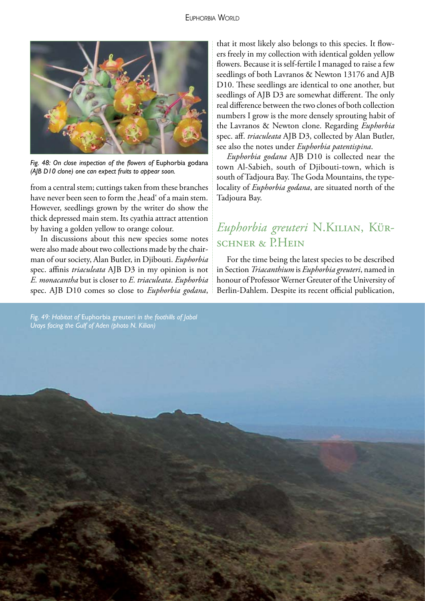

*Fig. 48: On close inspection of the flowers of* Euphorbia godana *(AJB D10 clone) one can expect fruits to appear soon.*

from a central stem; cuttings taken from these branches have never been seen to form the , head of a main stem. However, seedlings grown by the writer do show the thick depressed main stem. Its cyathia attract attention by having a golden yellow to orange colour.

In discussions about this new species some notes were also made about two collections made by the chairman of our society, Alan Butler, in Djibouti. *Euphorbia* spec. affinis *triaculeata* AJB D3 in my opinion is not *E. monacantha* but is closer to *E. triaculeata*. *Euphorbia* spec. AJB D10 comes so close to *Euphorbia godana*,

that it most likely also belongs to this species. It flowers freely in my collection with identical golden yellow flowers. Because it is self-fertile I managed to raise a few seedlings of both Lavranos & Newton 13176 and AJB D10. These seedlings are identical to one another, but seedlings of AJB D3 are somewhat different. The only real difference between the two clones of both collection numbers I grow is the more densely sprouting habit of the Lavranos & Newton clone. Regarding *Euphorbia* spec. aff. *triaculeata* AJB D3, collected by Alan Butler, see also the notes under *Euphorbia patentispina*.

*Euphorbia godana* AJB D10 is collected near the town Al-Sabieh, south of Djibouti-town, which is south of Tadjoura Bay. The Goda Mountains, the typelocality of *Euphorbia godana*, are situated north of the Tadjoura Bay.

## *Euphorbia greuteri* N.Kilian, Kürschner & PH<sub>EIN</sub>

For the time being the latest species to be described in Section *Triacanthium* is *Euphorbia greuteri*, named in honour of Professor Werner Greuter of the University of Berlin-Dahlem. Despite its recent official publication,

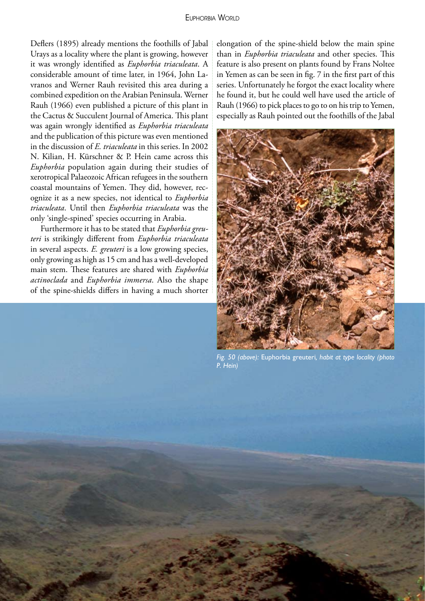Deflers (1895) already mentions the foothills of Jabal Urays as a locality where the plant is growing, however it was wrongly identified as *Euphorbia triaculeata*. A considerable amount of time later, in 1964, John Lavranos and Werner Rauh revisited this area during a combined expedition on the Arabian Peninsula. Werner Rauh (1966) even published a picture of this plant in the Cactus & Succulent Journal of America. This plant was again wrongly identified as *Euphorbia triaculeata* and the publication of this picture was even mentioned in the discussion of *E. triaculeata* in this series. In 2002 N. Kilian, H. Kürschner & P. Hein came across this *Euphorbia* population again during their studies of xerotropical Palaeozoic African refugees in the southern coastal mountains of Yemen. They did, however, recognize it as a new species, not identical to *Euphorbia triaculeata*. Until then *Euphorbia triaculeata* was the only 'single-spined' species occurring in Arabia.

Furthermore it has to be stated that *Euphorbia greuteri* is strikingly different from *Euphorbia triaculeata* in several aspects. *E. greuteri* is a low growing species, only growing as high as 15 cm and has a well-developed main stem. These features are shared with *Euphorbia actinoclada* and *Euphorbia immersa*. Also the shape of the spine-shields differs in having a much shorter elongation of the spine-shield below the main spine than in *Euphorbia triaculeata* and other species. This feature is also present on plants found by Frans Noltee in Yemen as can be seen in fig. 7 in the first part of this series. Unfortunately he forgot the exact locality where he found it, but he could well have used the article of Rauh (1966) to pick places to go to on his trip to Yemen, especially as Rauh pointed out the foothills of the Jabal



*Fig. 50 (above):* Euphorbia greuteri*, habit at type locality (photo P. Hein)*

21 Vol. 3 n. 3 - December 2007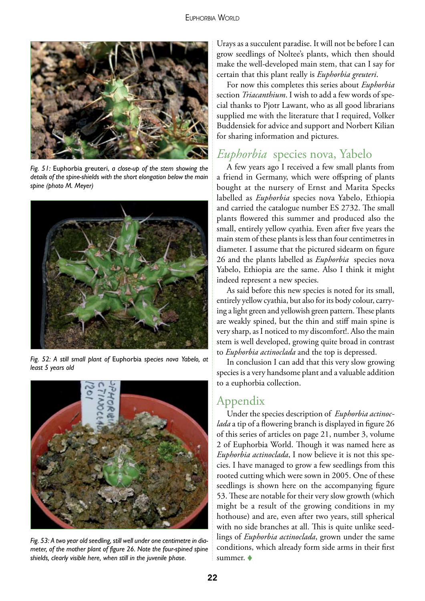

*Fig. 51:* Euphorbia greuteri, *a close-up of the stem showing the details of the spine-shields with the short elongation below the main spine (photo M. Meyer)*



*Fig. 52: A still small plant of* Euphorbia *species nova Yabelo, at least 5 years old*



*Fig. 53: A two year old seedling, still well under one centimetre in diameter, of the mother plant of figure 26. Note the four-spined spine shields, clearly visible here, when still in the juvenile phase.*

Urays as a succulent paradise. It will not be before I can grow seedlings of Noltee's plants, which then should make the well-developed main stem, that can I say for certain that this plant really is *Euphorbia greuteri*.

For now this completes this series about *Euphorbia* section *Triacanthium*. I wish to add a few words of special thanks to Pjotr Lawant, who as all good librarians supplied me with the literature that I required, Volker Buddensiek for advice and support and Norbert Kilian for sharing information and pictures.

### *Euphorbia* species nova, Yabelo

A few years ago I received a few small plants from a friend in Germany, which were offspring of plants bought at the nursery of Ernst and Marita Specks labelled as *Euphorbia* species nova Yabelo, Ethiopia and carried the catalogue number ES 2732. The small plants flowered this summer and produced also the small, entirely yellow cyathia. Even after five years the main stem of these plants is less than four centimetres in diameter. I assume that the pictured sidearm on figure 26 and the plants labelled as *Euphorbia* species nova Yabelo, Ethiopia are the same. Also I think it might indeed represent a new species.

As said before this new species is noted for its small, entirely yellow cyathia, but also for its body colour, carrying a light green and yellowish green pattern. These plants are weakly spined, but the thin and stiff main spine is very sharp, as I noticed to my discomfort!. Also the main stem is well developed, growing quite broad in contrast to *Euphorbia actinoclada* and the top is depressed.

In conclusion I can add that this very slow growing species is a very handsome plant and a valuable addition to a euphorbia collection.

#### Appendix

Under the species description of *Euphorbia actinoclada* a tip of a flowering branch is displayed in figure 26 of this series of articles on page 21, number 3, volume 2 of Euphorbia World. Though it was named here as *Euphorbia actinoclada*, I now believe it is not this species. I have managed to grow a few seedlings from this rooted cutting which were sown in 2005. One of these seedlings is shown here on the accompanying figure 53. These are notable for their very slow growth (which might be a result of the growing conditions in my hothouse) and are, even after two years, still spherical with no side branches at all. This is quite unlike seedlings of *Euphorbia actinoclada*, grown under the same conditions, which already form side arms in their first summer.